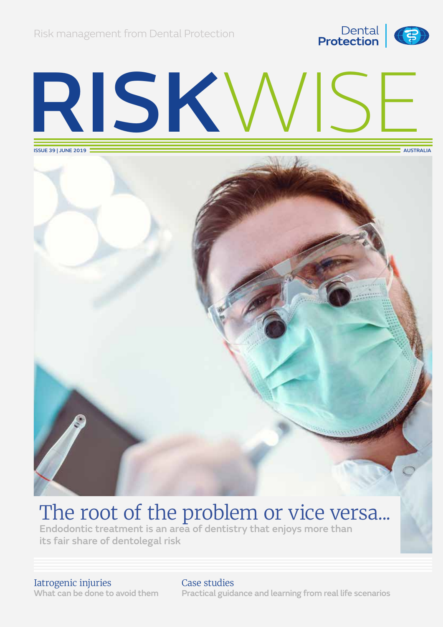

# RISKWISE

ISSUE 39 | JUNE 2019



## The root of the problem or vice versa...

Endodontic treatment is an area of dentistry that enjoys more than its fair share of dentolegal risk

#### Iatrogenic injuries What can be done to avoid them

#### Case studies Practical guidance and learning from real life scenarios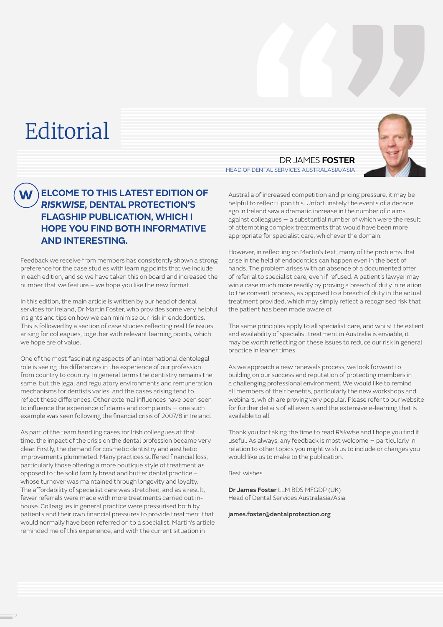## **Editorial**

#### **ELCOME TO THIS LATEST EDITION OF**  *RISKWISE***, DENTAL PROTECTION'S FLAGSHIP PUBLICATION, WHICH I HOPE YOU FIND BOTH INFORMATIVE AND INTERESTING. W**

Feedback we receive from members has consistently shown a strong preference for the case studies with learning points that we include in each edition, and so we have taken this on board and increased the number that we feature – we hope you like the new format.

In this edition, the main article is written by our head of dental services for Ireland, Dr Martin Foster, who provides some very helpful insights and tips on how we can minimise our risk in endodontics. This is followed by a section of case studies reflecting real life issues arising for colleagues, together with relevant learning points, which we hope are of value.

One of the most fascinating aspects of an international dentolegal role is seeing the differences in the experience of our profession from country to country. In general terms the dentistry remains the same, but the legal and regulatory environments and remuneration mechanisms for dentists varies, and the cases arising tend to reflect these differences. Other external influences have been seen to influence the experience of claims and complaints – one such example was seen following the financial crisis of 2007/8 in Ireland.

As part of the team handling cases for Irish colleagues at that time, the impact of the crisis on the dental profession became very clear. Firstly, the demand for cosmetic dentistry and aesthetic improvements plummeted. Many practices suffered financial loss, particularly those offering a more boutique style of treatment as opposed to the solid family bread and butter dental practice – whose turnover was maintained through longevity and loyalty. The affordability of specialist care was stretched, and as a result, fewer referrals were made with more treatments carried out inhouse. Colleagues in general practice were pressurised both by patients and their own financial pressures to provide treatment that would normally have been referred on to a specialist. Martin's article reminded me of this experience, and with the current situation in

DR JAMES **FOSTER** HEAD OF DENTAL SERVICES AUSTRALASIA/ASIA

Australia of increased competition and pricing pressure, it may be helpful to reflect upon this. Unfortunately the events of a decade ago in Ireland saw a dramatic increase in the number of claims against colleagues – a substantial number of which were the result of attempting complex treatments that would have been more appropriate for specialist care, whichever the domain.

However, in reflecting on Martin's text, many of the problems that arise in the field of endodontics can happen even in the best of hands. The problem arises with an absence of a documented offer of referral to specialist care, even if refused. A patient's lawyer may win a case much more readily by proving a breach of duty in relation to the consent process, as opposed to a breach of duty in the actual treatment provided, which may simply reflect a recognised risk that the patient has been made aware of.

The same principles apply to all specialist care, and whilst the extent and availability of specialist treatment in Australia is enviable, it may be worth reflecting on these issues to reduce our risk in general practice in leaner times.

As we approach a new renewals process, we look forward to building on our success and reputation of protecting members in a challenging professional environment. We would like to remind all members of their benefits, particularly the new workshops and webinars, which are proving very popular. Please refer to our website for further details of all events and the extensive e-learning that is available to all.

Thank you for taking the time to read *Riskwise* and I hope you find it useful. As always, any feedback is most welcome *–* particularly in relation to other topics you might wish us to include or changes you would like us to make to the publication.

Best wishes

**Dr James Foster** LLM BDS MFGDP (UK) Head of Dental Services Australasia/Asia

[james.foster@dentalprotection.org](mailto:james.foster%40dentalprotection.org?subject=)

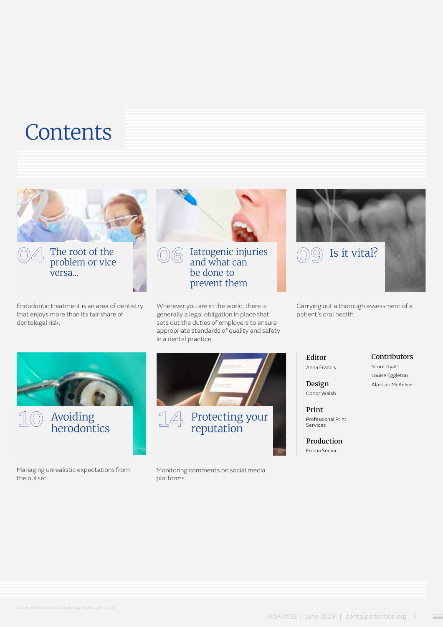## **Contents**



The root of the problem or vice versa...

Endodontic treatment is an area of dentistry that enjoys more than its fair share of dentolegal risk.



and what can be done to prevent them

Wherever you are in the world, there is generally a legal obligation in place that sets out the duties of employers to ensure appropriate standards of quality and safety in a dental practice.



Carrying out a thorough assessment of a patient's oral health.





Managing unrealistic expectations from the outset.



Monitoring comments on social media platforms.

Editor Anna Francis

#### Contributors

Simrit Ryatt Louise Eggleton Alasdair McKelvie

Design Conor Walsh

Print Professional Print Services

Production Emma Senior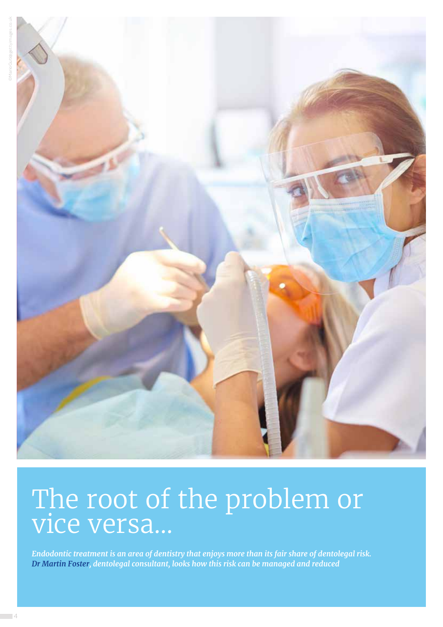

## The root of the problem or vice versa…

*Endodontic treatment is an area of dentistry that enjoys more than its fair share of dentolegal risk. Dr Martin Foster, dentolegal consultant, looks how this risk can be managed and reduced*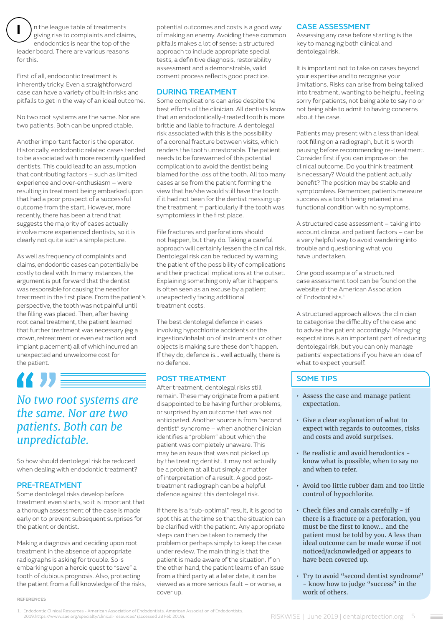**I** n the league table of treatments giving rise to complaints and claims, endodontics is near the top of the leader board. There are various reasons for this.

First of all, endodontic treatment is inherently tricky. Even a straightforward case can have a variety of built-in risks and pitfalls to get in the way of an ideal outcome.

No two root systems are the same. Nor are two patients. Both can be unpredictable.

Another important factor is the operator. Historically, endodontic related cases tended to be associated with more recently qualified dentists. This could lead to an assumption that contributing factors – such as limited experience and over-enthusiasm – were resulting in treatment being embarked upon that had a poor prospect of a successful outcome from the start. However, more recently, there has been a trend that suggests the majority of cases actually involve more experienced dentists, so it is clearly not quite such a simple picture.

As well as frequency of complaints and claims, endodontic cases can potentially be costly to deal with. In many instances, the argument is put forward that the dentist was responsible for causing the need for treatment in the first place. From the patient's perspective, the tooth was not painful until the filling was placed. Then, after having root canal treatment, the patient learned that further treatment was necessary (eg a crown, retreatment or even extraction and implant placement) all of which incurred an unexpected and unwelcome cost for the patient.

## 化力量

#### *No two root systems are the same. Nor are two patients. Both can be unpredictable.*

So how should dentolegal risk be reduced when dealing with endodontic treatment?

#### PRE-TREATMENT

**REFERENCES**

Some dentolegal risks develop before treatment even starts, so it is important that a thorough assessment of the case is made early on to prevent subsequent surprises for the patient or dentist.

Making a diagnosis and deciding upon root treatment in the absence of appropriate radiographs is asking for trouble. So is embarking upon a heroic quest to "save" a tooth of dubious prognosis. Also, protecting the patient from a full knowledge of the risks, potential outcomes and costs is a good way of making an enemy. Avoiding these common pitfalls makes a lot of sense: a structured approach to include appropriate special tests, a definitive diagnosis, restorability assessment and a demonstrable, valid consent process reflects good practice.

#### DURING TREATMENT

Some complications can arise despite the best efforts of the clinician. All dentists know that an endodontically-treated tooth is more brittle and liable to fracture. A dentolegal risk associated with this is the possibility of a coronal fracture between visits, which renders the tooth unrestorable. The patient needs to be forewarned of this potential complication to avoid the dentist being blamed for the loss of the tooth. All too many cases arise from the patient forming the view that he/she would still have the tooth if it had not been for the dentist messing up the treatment *–* particularly if the tooth was symptomless in the first place.

File fractures and perforations should not happen, but they do. Taking a careful approach will certainly lessen the clinical risk. Dentolegal risk can be reduced by warning the patient of the possibility of complications and their practical implications at the outset. Explaining something only after it happens is often seen as an excuse by a patient unexpectedly facing additional treatment costs.

The best dentolegal defence in cases involving hypochlorite accidents or the ingestion/inhalation of instruments or other objects is making sure these don't happen. If they do, defence is… well actually, there is no defence.

#### POST TREATMENT

After treatment, dentolegal risks still remain. These may originate from a patient disappointed to be having further problems, or surprised by an outcome that was not anticipated. Another source is from "second dentist" syndrome – when another clinician identifies a "problem" about which the patient was completely unaware. This may be an issue that was not picked up by the treating dentist. It may not actually be a problem at all but simply a matter of interpretation of a result. A good posttreatment radiograph can be a helpful defence against this dentolegal risk.

If there is a "sub-optimal" result, it is good to spot this at the time so that the situation can be clarified with the patient. Any appropriate steps can then be taken to remedy the problem or perhaps simply to keep the case under review. The main thing is that the patient is made aware of the situation. If on the other hand, the patient learns of an issue from a third party at a later date, it can be viewed as a more serious fault – or worse, a cover up.

#### CASE ASSESSMENT

Assessing any case before starting is the key to managing both clinical and dentolegal risk.

It is important not to take on cases beyond your expertise and to recognise your limitations. Risks can arise from being talked into treatment, wanting to be helpful, feeling sorry for patients, not being able to say no or not being able to admit to having concerns about the case.

Patients may present with a less than ideal root filling on a radiograph, but it is worth pausing before recommending re-treatment. Consider first if you can improve on the clinical outcome. Do you think treatment is necessary? Would the patient actually benefit? The position may be stable and symptomless. Remember, patients measure success as a tooth being retained in a functional condition with no symptoms.

A structured case assessment – taking into account clinical and patient factors – can be a very helpful way to avoid wandering into trouble and questioning what you have undertaken.

One good example of a structured case assessment tool can be found on the website of the American Association of Endodontists.<sup>1</sup>

A structured approach allows the clinician to categorise the difficulty of the case and to advise the patient accordingly. Managing expectations is an important part of reducing dentolegal risk, but you can only manage patients' expectations if you have an idea of what to expect yourself.

#### SOME TIPS

- Assess the case and manage patient expectation.
- Give a clear explanation of what to expect with regards to outcomes, risks and costs and avoid surprises.
- Be realistic and avoid herodontics know what is possible, when to say no and when to refer.
- Avoid too little rubber dam and too little control of hypochlorite.
- Check files and canals carefully if there is a fracture or a perforation, you must be the first to know… and the patient must be told by you. A less than ideal outcome can be made worse if not noticed/acknowledged or appears to have been covered up.
- Try to avoid "second dentist syndrome" - know how to judge "success" in the work of others.

1. Endodontic Clinical Resources - American Association of Endodontists. American Association of Endodontists. 2019.https://www.aae.org/specialty/clinical-resources/ (accessed 28 Feb 2019).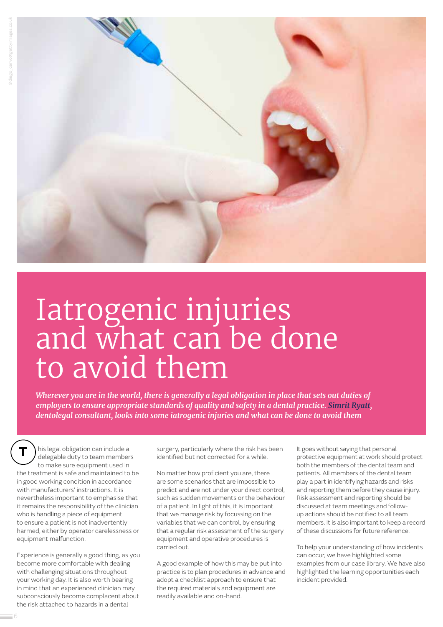

## Iatrogenic injuries and what can be done to avoid them

*Wherever you are in the world, there is generally a legal obligation in place that sets out duties of employers to ensure appropriate standards of quality and safety in a dental practice. Simrit Ryatt, dentolegal consultant, looks into some iatrogenic injuries and what can be done to avoid them*

**T** his legal obligation can include a delegable duty to team members to make sure equipment used in the treatment is safe and maintained to be in good working condition in accordance with manufacturers' instructions. It is nevertheless important to emphasise that it remains the responsibility of the clinician who is handling a piece of equipment to ensure a patient is not inadvertently harmed, either by operator carelessness or equipment malfunction.

Experience is generally a good thing, as you become more comfortable with dealing with challenging situations throughout your working day. It is also worth bearing in mind that an experienced clinician may subconsciously become complacent about the risk attached to hazards in a dental

surgery, particularly where the risk has been identified but not corrected for a while.

No matter how proficient you are, there are some scenarios that are impossible to predict and are not under your direct control, such as sudden movements or the behaviour of a patient. In light of this, it is important that we manage risk by focussing on the variables that we can control, by ensuring that a regular risk assessment of the surgery equipment and operative procedures is carried out.

A good example of how this may be put into practice is to plan procedures in advance and adopt a checklist approach to ensure that the required materials and equipment are readily available and on-hand.

It goes without saying that personal protective equipment at work should protect both the members of the dental team and patients. All members of the dental team play a part in identifying hazards and risks and reporting them before they cause injury. Risk assessment and reporting should be discussed at team meetings and followup actions should be notified to all team members. It is also important to keep a record of these discussions for future reference.

To help your understanding of how incidents can occur, we have highlighted some examples from our case library. We have also highlighted the learning opportunities each incident provided.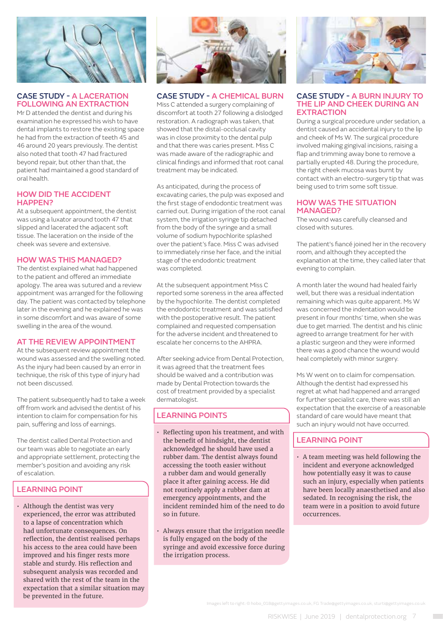

#### CASE STUDY - A LACERATION FOLLOWING AN EXTRACTION

Mr D attended the dentist and during his examination he expressed his wish to have dental implants to restore the existing space he had from the extraction of teeth 45 and 46 around 20 years previously. The dentist also noted that tooth 47 had fractured beyond repair, but other than that, the patient had maintained a good standard of oral health.

#### HOW DID THE ACCIDENT HAPPEN?

At a subsequent appointment, the dentist was using a luxator around tooth 47 that slipped and lacerated the adjacent soft tissue. The laceration on the inside of the cheek was severe and extensive.

#### HOW WAS THIS MANAGED?

The dentist explained what had happened to the patient and offered an immediate apology. The area was sutured and a review appointment was arranged for the following day. The patient was contacted by telephone later in the evening and he explained he was in some discomfort and was aware of some swelling in the area of the wound.

#### AT THE REVIEW APPOINTMENT

At the subsequent review appointment the wound was assessed and the swelling noted. As the injury had been caused by an error in technique, the risk of this type of injury had not been discussed.

The patient subsequently had to take a week off from work and advised the dentist of his intention to claim for compensation for his pain, suffering and loss of earnings.

The dentist called Dental Protection and our team was able to negotiate an early and appropriate settlement, protecting the member's position and avoiding any risk of escalation.

#### LEARNING POINT

• Although the dentist was very experienced, the error was attributed to a lapse of concentration which had unfortunate consequences. On reflection, the dentist realised perhaps his access to the area could have been improved and his finger rests more stable and sturdy. His reflection and subsequent analysis was recorded and shared with the rest of the team in the expectation that a similar situation may be prevented in the future.



#### CASE STUDY - A CHEMICAL BURN

Miss C attended a surgery complaining of discomfort at tooth 27 following a dislodged restoration. A radiograph was taken, that showed that the distal-occlusal cavity was in close proximity to the dental pulp and that there was caries present. Miss C was made aware of the radiographic and clinical findings and informed that root canal treatment may be indicated.

As anticipated, during the process of excavating caries, the pulp was exposed and the first stage of endodontic treatment was carried out. During irrigation of the root canal system, the irrigation syringe tip detached from the body of the syringe and a small volume of sodium hypochlorite splashed over the patient's face. Miss C was advised to immediately rinse her face, and the initial stage of the endodontic treatment was completed.

At the subsequent appointment Miss C reported some soreness in the area affected by the hypochlorite. The dentist completed the endodontic treatment and was satisfied with the postoperative result. The patient complained and requested compensation for the adverse incident and threatened to escalate her concerns to the AHPRA.

After seeking advice from Dental Protection, it was agreed that the treatment fees should be waived and a contribution was made by Dental Protection towards the cost of treatment provided by a specialist dermatologist.

#### LEARNING POINTS

- Reflecting upon his treatment, and with the benefit of hindsight, the dentist acknowledged he should have used a rubber dam. The dentist always found accessing the tooth easier without a rubber dam and would generally place it after gaining access. He did not routinely apply a rubber dam at emergency appointments, and the incident reminded him of the need to do so in future.
- Always ensure that the irrigation needle is fully engaged on the body of the syringe and avoid excessive force during the irrigation process.



#### CASE STUDY - A BURN INJURY TO THE LIP AND CHEEK DURING AN **EXTRACTION**

During a surgical procedure under sedation, a dentist caused an accidental injury to the lip and cheek of Ms W. The surgical procedure involved making gingival incisions, raising a flap and trimming away bone to remove a partially erupted 48. During the procedure, the right cheek mucosa was burnt by contact with an electro-surgery tip that was being used to trim some soft tissue.

#### HOW WAS THE SITUATION MANAGED?

The wound was carefully cleansed and closed with sutures.

The patient's fiancé joined her in the recovery room, and although they accepted the explanation at the time, they called later that evening to complain.

A month later the wound had healed fairly well, but there was a residual indentation remaining which was quite apparent. Ms W was concerned the indentation would be present in four months' time, when she was due to get married. The dentist and his clinic agreed to arrange treatment for her with a plastic surgeon and they were informed there was a good chance the wound would heal completely with minor surgery.

Ms W went on to claim for compensation. Although the dentist had expressed his regret at what had happened and arranged for further specialist care, there was still an expectation that the exercise of a reasonable standard of care would have meant that such an injury would not have occurred.

#### LEARNING POINT

• A team meeting was held following the incident and everyone acknowledged how potentially easy it was to cause such an injury, especially when patients have been locally anaesthetised and also sedated. In recognising the risk, the team were in a position to avoid future occurrences.

Images left to right: © hobo\_018@gettyimages.co.uk, FG Trade@gettyimages.co.uk, sturti@gettyimages.co.uk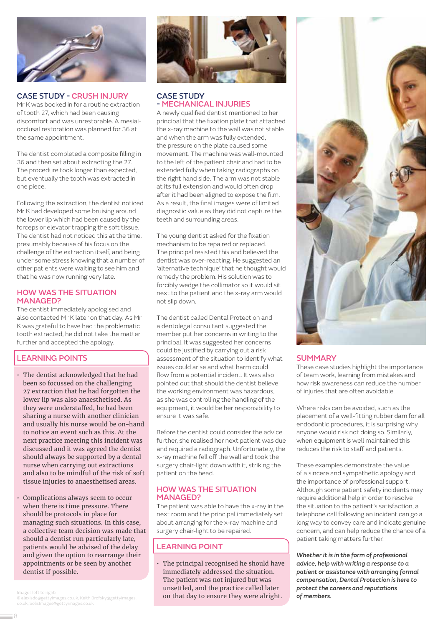

#### CASE STUDY - CRUSH INJURY

Mr K was booked in for a routine extraction of tooth 27, which had been causing discomfort and was unrestorable. A mesialocclusal restoration was planned for 36 at the same appointment.

The dentist completed a composite filling in 36 and then set about extracting the 27. The procedure took longer than expected, but eventually the tooth was extracted in one piece.

Following the extraction, the dentist noticed Mr K had developed some bruising around the lower lip which had been caused by the forceps or elevator trapping the soft tissue. The dentist had not noticed this at the time, presumably because of his focus on the challenge of the extraction itself, and being under some stress knowing that a number of other patients were waiting to see him and that he was now running very late.

#### HOW WAS THE SITUATION MANAGED?

The dentist immediately apologised and also contacted Mr K later on that day. As Mr K was grateful to have had the problematic tooth extracted, he did not take the matter further and accepted the apology.

#### LEARNING POINTS

- The dentist acknowledged that he had been so focussed on the challenging 27 extraction that he had forgotten the lower lip was also anaesthetised. As they were understaffed, he had been sharing a nurse with another clinician and usually his nurse would be on-hand to notice an event such as this. At the next practice meeting this incident was discussed and it was agreed the dentist should always be supported by a dental nurse when carrying out extractions and also to be mindful of the risk of soft tissue injuries to anaesthetised areas.
- Complications always seem to occur when there is time pressure. There should be protocols in place for managing such situations. In this case, a collective team decision was made that should a dentist run particularly late, patients would be advised of the delay and given the option to rearrange their appointments or be seen by another dentist if possible.

© alexisdc@gettyimages.co.uk, Keith Brofsky@gettyimages.



#### CASE STUDY - MECHANICAL INJURIES

A newly qualified dentist mentioned to her principal that the fixation plate that attached the x-ray machine to the wall was not stable and when the arm was fully extended, the pressure on the plate caused some movement. The machine was wall-mounted to the left of the patient chair and had to be extended fully when taking radiographs on the right hand side. The arm was not stable at its full extension and would often drop after it had been aligned to expose the film. As a result, the final images were of limited diagnostic value as they did not capture the teeth and surrounding areas.

The young dentist asked for the fixation mechanism to be repaired or replaced. The principal resisted this and believed the dentist was over-reacting. He suggested an 'alternative technique' that he thought would remedy the problem. His solution was to forcibly wedge the collimator so it would sit next to the patient and the x-ray arm would not slip down.

The dentist called Dental Protection and a dentolegal consultant suggested the member put her concerns in writing to the principal. It was suggested her concerns could be justified by carrying out a risk assessment of the situation to identify what issues could arise and what harm could flow from a potential incident. It was also pointed out that should the dentist believe the working environment was hazardous, as she was controlling the handling of the equipment, it would be her responsibility to ensure it was safe.

Before the dentist could consider the advice further, she realised her next patient was due and required a radiograph. Unfortunately, the x-ray machine fell off the wall and took the surgery chair-light down with it, striking the patient on the head.

#### HOW WAS THE SITUATION MANAGED?

The patient was able to have the x-ray in the next room and the principal immediately set about arranging for the x-ray machine and surgery chair-light to be repaired.

#### LEARNING POINT

• The principal recognised he should have immediately addressed the situation. The patient was not injured but was unsettled, and the practice called later Images left to right:<br>© alexisdc@gettvimages.co.uk. Keith Brofskv@gettvimages. **Image and South that day to ensure they were alright. of members.** 



#### **SUMMARY**

These case studies highlight the importance of team work, learning from mistakes and how risk awareness can reduce the number of injuries that are often avoidable.

Where risks can be avoided, such as the placement of a well-fitting rubber dam for all endodontic procedures, it is surprising why anyone would risk not doing so. Similarly, when equipment is well maintained this reduces the risk to staff and patients.

These examples demonstrate the value of a sincere and sympathetic apology and the importance of professional support. Although some patient safety incidents may require additional help in order to resolve the situation to the patient's satisfaction, a telephone call following an incident can go a long way to convey care and indicate genuine concern, and can help reduce the chance of a patient taking matters further.

*Whether it is in the form of professional advice, help with writing a response to a patient or assistance with arranging formal compensation, Dental Protection is here to protect the careers and reputations*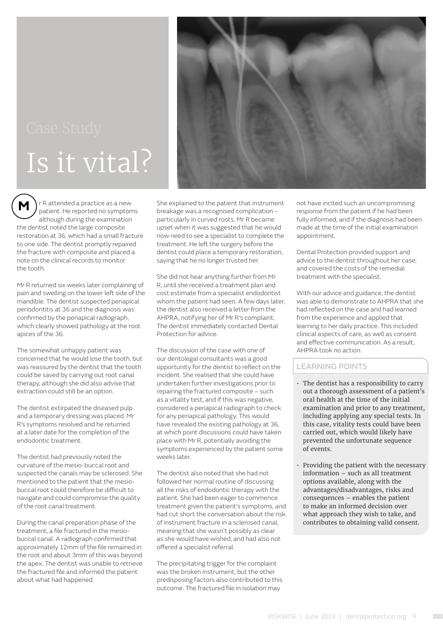## Is it vital?



**M**  r R attended a practice as a new patient. He reported no symptoms although during the examination the dentist noted the large composite restoration at 36, which had a small fracture to one side. The dentist promptly repaired the fracture with composite and placed a note on the clinical records to monitor the tooth.

Mr R returned six weeks later complaining of pain and swelling on the lower left side of the mandible. The dentist suspected periapical periodontitis at 36 and the diagnosis was confirmed by the periapical radiograph, which clearly showed pathology at the root apices of the 36.

The somewhat unhappy patient was concerned that he would lose the tooth, but was reassured by the dentist that the tooth could be saved by carrying out root canal therapy, although she did also advise that extraction could still be an option.

The dentist extirpated the diseased pulp and a temporary dressing was placed. Mr R's symptoms resolved and he returned at a later date for the completion of the endodontic treatment.

The dentist had previously noted the curvature of the mesio-buccal root and suspected the canals may be sclerosed. She mentioned to the patient that the mesiobuccal root could therefore be difficult to navigate and could compromise the quality of the root canal treatment.

During the canal preparation phase of the treatment, a file fractured in the mesiobuccal canal. A radiograph confirmed that approximately 12mm of the file remained in the root and about 3mm of this was beyond the apex. The dentist was unable to retrieve the fractured file and informed the patient about what had happened.

She explained to the patient that instrument breakage was a recognised complication – particularly in curved roots. Mr R became upset when it was suggested that he would now need to see a specialist to complete the treatment. He left the surgery before the dentist could place a temporary restoration, saying that he no longer trusted her.

She did not hear anything further from Mr R, until she received a treatment plan and cost estimate from a specialist endodontist whom the patient had seen. A few days later, the dentist also received a letter from the AHPRA, notifying her of Mr R's complaint. The dentist immediately contacted Dental Protection for advice.

The discussion of the case with one of our dentolegal consultants was a good opportunity for the dentist to reflect on the incident. She realised that she could have undertaken further investigations prior to repairing the fractured composite – such as a vitality test, and if this was negative, considered a periapical radiograph to check for any periapical pathology. This would have revealed the existing pathology at 36, at which point discussions could have taken place with Mr R, potentially avoiding the symptoms experienced by the patient some weeks later.

The dentist also noted that she had not followed her normal routine of discussing all the risks of endodontic therapy with the patient. She had been eager to commence treatment given the patient's symptoms, and had cut short the conversation about the risk of instrument fracture in a sclerosed canal, meaning that she wasn't possibly as clear as she would have wished, and had also not offered a specialist referral.

The precipitating trigger for the complaint was the broken instrument, but the other predisposing factors also contributed to this outcome. The fractured file in isolation may

not have incited such an uncompromising response from the patient if he had been fully informed, and if the diagnosis had been made at the time of the initial examination appointment.

Dental Protection provided support and advice to the dentist throughout her case, and covered the costs of the remedial treatment with the specialist.

With our advice and guidance, the dentist was able to demonstrate to AHPRA that she had reflected on the case and had learned from the experience and applied that learning to her daily practice. This included clinical aspects of care, as well as consent and effective communication. As a result, AHPRA took no action.

- The dentist has a responsibility to carry out a thorough assessment of a patient's oral health at the time of the initial examination and prior to any treatment, including applying any special tests. In this case, vitality tests could have been carried out, which would likely have prevented the unfortunate sequence of events.
- Providing the patient with the necessary information – such as all treatment options available, along with the advantages/disadvantages, risks and consequences – enables the patient to make an informed decision over what approach they wish to take, and contributes to obtaining valid consent.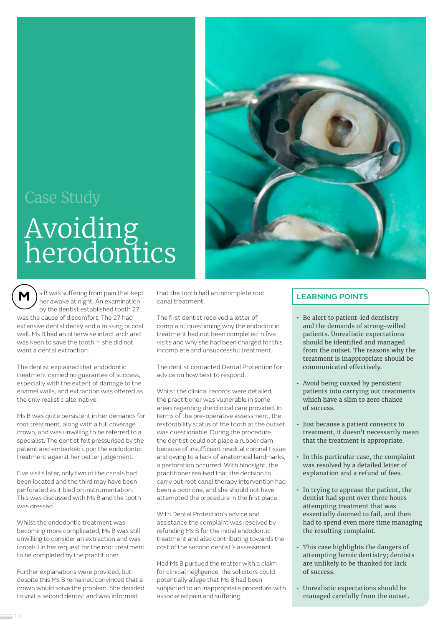## Avoiding herodontics



**M**  s B was suffering from pain that kept her awake at night. An examination by the dentist established tooth 27 was the cause of discomfort. The 27 had extensive dental decay and a missing buccal wall. Ms B had an otherwise intact arch and was keen to save the tooth *–* she did not want a dental extraction.

The dentist explained that endodontic treatment carried no guarantee of success, especially with the extent of damage to the enamel walls, and extraction was offered as the only realistic alternative.

Ms B was quite persistent in her demands for root treatment, along with a full coverage crown, and was unwilling to be referred to a specialist. The dentist felt pressurised by the patient and embarked upon the endodontic treatment against her better judgement.

Five visits later, only two of the canals had been located and the third may have been perforated as it bled on instrumentation. This was discussed with Ms B and the tooth was dressed.

Whilst the endodontic treatment was becoming more complicated, Ms B was still unwilling to consider an extraction and was forceful in her request for the root treatment to be completed by the practitioner.

Further explanations were provided, but despite this Ms B remained convinced that a crown would solve the problem. She decided to visit a second dentist and was informed

that the tooth had an incomplete root canal treatment.

The first dentist received a letter of complaint questioning why the endodontic treatment had not been completed in five visits and why she had been charged for this incomplete and unsuccessful treatment.

The dentist contacted Dental Protection for advice on how best to respond.

Whilst the clinical records were detailed, the practitioner was vulnerable in some areas regarding the clinical care provided. In terms of the pre-operative assessment, the restorability status of the tooth at the outset was questionable. During the procedure the dentist could not place a rubber dam because of insufficient residual coronal tissue and owing to a lack of anatomical landmarks, a perforation occurred. With hindsight, the practitioner realised that the decision to carry out root canal therapy intervention had been a poor one, and she should not have attempted the procedure in the first place.

With Dental Protection's advice and assistance the complaint was resolved by refunding Ms B for the initial endodontic treatment and also contributing towards the cost of the second dentist's assessment.

Had Ms B pursued the matter with a claim for clinical negligence, the solicitors could potentially allege that Ms B had been subjected to an inappropriate procedure with associated pain and suffering.

- Be alert to patient-led dentistry and the demands of strong-willed patients. Unrealistic expectations should be identified and managed from the outset. The reasons why the treatment is inappropriate should be communicated effectively.
- Avoid being coaxed by persistent patients into carrying out treatments which have a slim to zero chance of success.
- Just because a patient consents to treatment, it doesn't necessarily mean that the treatment is appropriate.
- In this particular case, the complaint was resolved by a detailed letter of explanation and a refund of fees.
- In trying to appease the patient, the dentist had spent over three hours attempting treatment that was essentially doomed to fail, and then had to spend even more time managing the resulting complaint.
- This case highlights the dangers of attempting heroic dentistry; dentists are unlikely to be thanked for lack of success.
- Unrealistic expectations should be managed carefully from the outset.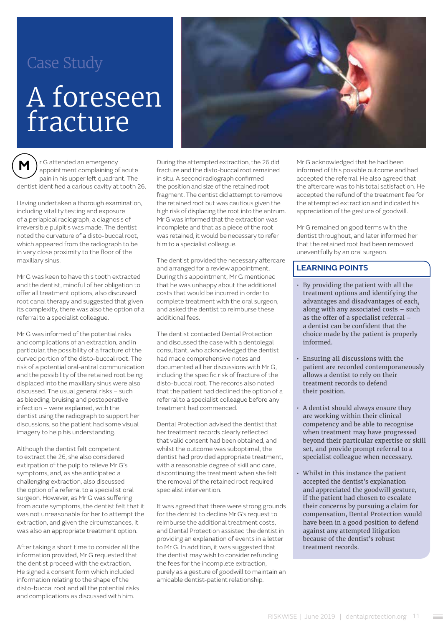#### Case Study

## A foreseen fracture

**M**  r G attended an emergency appointment complaining of acute pain in his upper left quadrant. The dentist identified a carious cavity at tooth 26.

Having undertaken a thorough examination, including vitality testing and exposure of a periapical radiograph, a diagnosis of irreversible pulpitis was made. The dentist noted the curvature of a disto-buccal root, which appeared from the radiograph to be in very close proximity to the floor of the maxillary sinus.

Mr G was keen to have this tooth extracted and the dentist, mindful of her obligation to offer all treatment options, also discussed root canal therapy and suggested that given its complexity, there was also the option of a referral to a specialist colleague.

Mr G was informed of the potential risks and complications of an extraction, and in particular, the possibility of a fracture of the curved portion of the disto-buccal root. The risk of a potential oral-antral communication and the possibility of the retained root being displaced into the maxillary sinus were also discussed. The usual general risks – such as bleeding, bruising and postoperative infection – were explained, with the dentist using the radiograph to support her discussions, so the patient had some visual imagery to help his understanding.

Although the dentist felt competent to extract the 26, she also considered extirpation of the pulp to relieve Mr G's symptoms, and, as she anticipated a challenging extraction, also discussed the option of a referral to a specialist oral surgeon. However, as Mr G was suffering from acute symptoms, the dentist felt that it was not unreasonable for her to attempt the extraction, and given the circumstances, it was also an appropriate treatment option.

After taking a short time to consider all the information provided, Mr G requested that the dentist proceed with the extraction. He signed a consent form which included information relating to the shape of the disto-buccal root and all the potential risks and complications as discussed with him.



During the attempted extraction, the 26 did fracture and the disto-buccal root remained in situ. A second radiograph confirmed the position and size of the retained root fragment. The dentist did attempt to remove the retained root but was cautious given the high risk of displacing the root into the antrum. Mr G was informed that the extraction was incomplete and that as a piece of the root was retained, it would be necessary to refer him to a specialist colleague.

The dentist provided the necessary aftercare and arranged for a review appointment. During this appointment, Mr G mentioned that he was unhappy about the additional costs that would be incurred in order to complete treatment with the oral surgeon, and asked the dentist to reimburse these additional fees.

The dentist contacted Dental Protection and discussed the case with a dentolegal consultant, who acknowledged the dentist had made comprehensive notes and documented all her discussions with Mr G, including the specific risk of fracture of the disto-buccal root. The records also noted that the patient had declined the option of a referral to a specialist colleague before any treatment had commenced.

Dental Protection advised the dentist that her treatment records clearly reflected that valid consent had been obtained, and whilst the outcome was suboptimal, the dentist had provided appropriate treatment, with a reasonable degree of skill and care, discontinuing the treatment when she felt the removal of the retained root required specialist intervention.

It was agreed that there were strong grounds for the dentist to decline Mr G's request to reimburse the additional treatment costs, and Dental Protection assisted the dentist in providing an explanation of events in a letter to Mr G. In addition, it was suggested that the dentist may wish to consider refunding the fees for the incomplete extraction, purely as a gesture of goodwill to maintain an amicable dentist-patient relationship.

Mr G acknowledged that he had been informed of this possible outcome and had accepted the referral. He also agreed that the aftercare was to his total satisfaction. He accepted the refund of the treatment fee for the attempted extraction and indicated his appreciation of the gesture of goodwill.

Mr G remained on good terms with the dentist throughout, and later informed her that the retained root had been removed uneventfully by an oral surgeon.

- By providing the patient with all the treatment options and identifying the advantages and disadvantages of each, along with any associated costs – such as the offer of a specialist referral – a dentist can be confident that the choice made by the patient is properly informed.
- Ensuring all discussions with the patient are recorded contemporaneously allows a dentist to rely on their treatment records to defend their position.
- A dentist should always ensure they are working within their clinical competency and be able to recognise when treatment may have progressed beyond their particular expertise or skill set, and provide prompt referral to a specialist colleague when necessary.
- Whilst in this instance the patient accepted the dentist's explanation and appreciated the goodwill gesture, if the patient had chosen to escalate their concerns by pursuing a claim for compensation, Dental Protection would have been in a good position to defend against any attempted litigation because of the dentist's robust treatment records.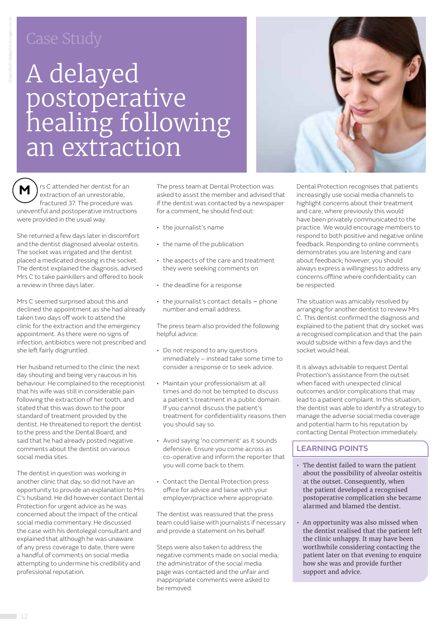## A delayed postoperative healing following an extraction



**M**  $\Big)$  is C attended her dentist for an extraction of an unrestorable, fractured 37. The procedure was uneventful and postoperative instructions were provided in the usual way.

She returned a few days later in discomfort and the dentist diagnosed alveolar osteitis. The socket was irrigated and the dentist placed a medicated dressing in the socket. The dentist explained the diagnosis, advised Mrs C to take painkillers and offered to book a review in three days later.

Mrs C seemed surprised about this and declined the appointment as she had already taken two days off work to attend the clinic for the extraction and the emergency appointment. As there were no signs of infection, antibiotics were not prescribed and she left fairly disgruntled.

Her husband returned to the clinic the next day shouting and being very raucous in his behaviour. He complained to the receptionist that his wife was still in considerable pain following the extraction of her tooth, and stated that this was down to the poor standard of treatment provided by the dentist. He threatened to report the dentist to the press and the Dental Board, and said that he had already posted negative comments about the dentist on various social media sites.

The dentist in question was working in another clinic that day, so did not have an opportunity to provide an explanation to Mrs C's husband. He did however contact Dental Protection for urgent advice as he was concerned about the impact of the critical social media commentary. He discussed the case with his dentolegal consultant and explained that although he was unaware of any press coverage to date, there were a handful of comments on social media attempting to undermine his credibility and professional reputation.

The press team at Dental Protection was asked to assist the member and advised that if the dentist was contacted by a newspaper for a comment, he should find out:

- the journalist's name
- the name of the publication
- the aspects of the care and treatment they were seeking comments on
- the deadline for a response
- the journalist's contact details phone number and email address.

The press team also provided the following helpful advice:

- Do not respond to any questions immediately – instead take some time to consider a response or to seek advice.
- Maintain your professionalism at all times and do not be tempted to discuss a patient's treatment in a public domain. If you cannot discuss the patient's treatment for confidentiality reasons then you should say so.
- Avoid saying 'no comment' as it sounds defensive. Ensure you come across as co-operative and inform the reporter that you will come back to them.
- Contact the Dental Protection press office for advice and liaise with your employer/practice where appropriate.

The dentist was reassured that the press team could liaise with journalists if necessary and provide a statement on his behalf.

Steps were also taken to address the negative comments made on social media; the administrator of the social media page was contacted and the unfair and inappropriate comments were asked to be removed.

Dental Protection recognises that patients increasingly use social media channels to highlight concerns about their treatment and care, where previously this would have been privately communicated to the practice. We would encourage members to respond to both positive and negative online feedback. Responding to online comments demonstrates you are listening and care about feedback; however, you should always express a willingness to address any concerns offline where confidentiality can be respected.

The situation was amicably resolved by arranging for another dentist to review Mrs C. This dentist confirmed the diagnosis and explained to the patient that dry socket was a recognised complication and that the pain would subside within a few days and the socket would heal.

It is always advisable to request Dental Protection's assistance from the outset when faced with unexpected clinical outcomes and/or complications that may lead to a patient complaint. In this situation, the dentist was able to identify a strategy to manage the adverse social media coverage and potential harm to his reputation by contacting Dental Protection immediately.

- The dentist failed to warn the patient about the possibility of alveolar osteitis at the outset. Consequently, when the patient developed a recognised postoperative complication she became alarmed and blamed the dentist.
- An opportunity was also missed when the dentist realised that the patient left the clinic unhappy. It may have been worthwhile considering contacting the patient later on that evening to enquire how she was and provide further support and advice.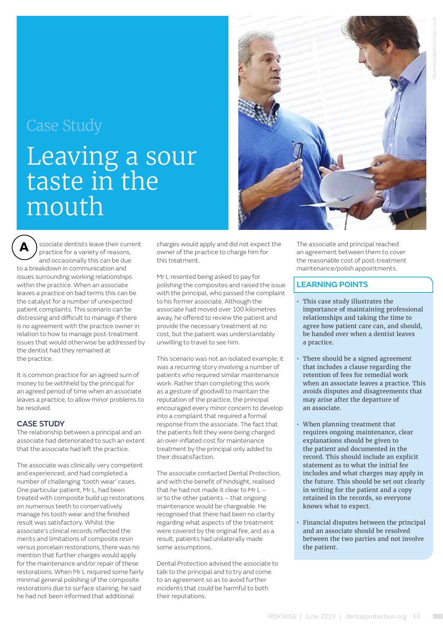#### Case Study

## Leaving a sour taste in the mouth

**A** ssociate dentists leave their current practice for a variety of reasons, and occasionally this can be due to a breakdown in communication and issues surrounding working relationships within the practice. When an associate leaves a practice on bad terms this can be the catalyst for a number of unexpected patient complaints. This scenario can be distressing and difficult to manage if there is no agreement with the practice owner in relation to how to manage post-treatment issues that would otherwise be addressed by the dentist had they remained at the practice.

It is common practice for an agreed sum of money to be withheld by the principal for an agreed period of time when an associate leaves a practice, to allow minor problems to be resolved.

#### CASE STUDY

The relationship between a principal and an associate had deteriorated to such an extent that the associate had left the practice.

The associate was clinically very competent and experienced, and had completed a number of challenging 'tooth wear' cases. One particular patient, Mr L, had been treated with composite build up restorations on numerous teeth to conservatively manage his tooth wear and the finished result was satisfactory. Whilst the associate's clinical records reflected the merits and limitations of composite resin versus porcelain restorations, there was no mention that further charges would apply for the maintenance and/or repair of these restorations. When Mr L required some fairly minimal general polishing of the composite restorations due to surface staining, he said he had not been informed that additional

charges would apply and did not expect the owner of the practice to charge him for this treatment.

Mr L resented being asked to pay for polishing the composites and raised the issue with the principal, who passed the complaint to his former associate. Although the associate had moved over 100 kilometres away, he offered to review the patient and provide the necessary treatment at no cost, but the patient was understandably unwilling to travel to see him.

This scenario was not an isolated example; it was a recurring story involving a number of patients who required similar maintenance work. Rather than completing this work as a gesture of goodwill to maintain the reputation of the practice, the principal encouraged every minor concern to develop into a complaint that required a formal response from the associate. The fact that the patients felt they were being charged an over-inflated cost for maintenance treatment by the principal only added to their dissatisfaction.

The associate contacted Dental Protection, and with the benefit of hindsight, realised that he had not made it clear to Mr L – or to the other patients – that ongoing maintenance would be chargeable. He recognised that there had been no clarity regarding what aspects of the treatment were covered by the original fee, and as a result, patients had unilaterally made some assumptions.

Dental Protection advised the associate to talk to the principal and to try and come to an agreement so as to avoid further incidents that could be harmful to both their reputations.



The associate and principal reached an agreement between them to cover the reasonable cost of post-treatment maintenance/polish appointments.

- This case study illustrates the importance of maintaining professional relationships and taking the time to agree how patient care can, and should, be handed over when a dentist leaves a practice.
- There should be a signed agreement that includes a clause regarding the retention of fees for remedial work when an associate leaves a practice. This avoids disputes and disagreements that may arise after the departure of an associate.
- When planning treatment that requires ongoing maintenance, clear explanations should be given to the patient and documented in the record. This should include an explicit statement as to what the initial fee includes and what charges may apply in the future. This should be set out clearly in writing for the patient and a copy retained in the records, so everyone knows what to expect.
- Financial disputes between the principal and an associate should be resolved between the two parties and not involve the patient.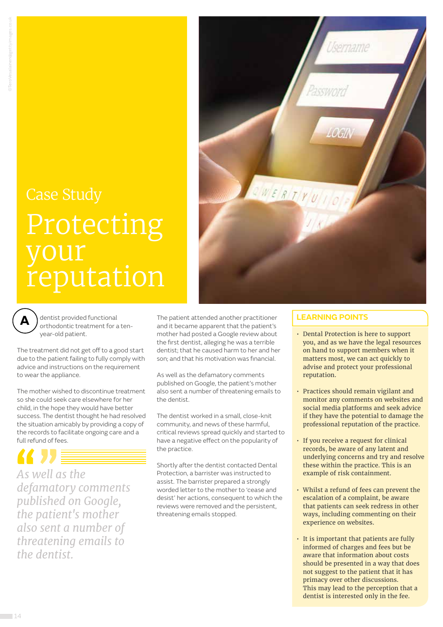## Case Study Protecting your reputation



dentist provided functional orthodontic treatment for a tenyear-old patient.

The treatment did not get off to a good start due to the patient failing to fully comply with advice and instructions on the requirement to wear the appliance.

The mother wished to discontinue treatment so she could seek care elsewhere for her child, in the hope they would have better success. The dentist thought he had resolved the situation amicably by providing a copy of the records to facilitate ongoing care and a full refund of fees.

*As well as the defamatory comments published on Google, the patient's mother also sent a number of threatening emails to the dentist.* 

The patient attended another practitioner and it became apparent that the patient's mother had posted a Google review about the first dentist, alleging he was a terrible dentist; that he caused harm to her and her son; and that his motivation was financial.

As well as the defamatory comments published on Google, the patient's mother also sent a number of threatening emails to the dentist.

The dentist worked in a small, close-knit community, and news of these harmful, critical reviews spread quickly and started to have a negative effect on the popularity of the practice.

Shortly after the dentist contacted Dental Protection, a barrister was instructed to assist. The barrister prepared a strongly worded letter to the mother to 'cease and desist' her actions, consequent to which the reviews were removed and the persistent, threatening emails stopped.

- Dental Protection is here to support you, and as we have the legal resources on hand to support members when it matters most, we can act quickly to advise and protect your professional reputation.
- Practices should remain vigilant and monitor any comments on websites and social media platforms and seek advice if they have the potential to damage the professional reputation of the practice.
- If you receive a request for clinical records, be aware of any latent and underlying concerns and try and resolve these within the practice. This is an example of risk containment.
- Whilst a refund of fees can prevent the escalation of a complaint, be aware that patients can seek redress in other ways, including commenting on their experience on websites.
- It is important that patients are fully informed of charges and fees but be aware that information about costs should be presented in a way that does not suggest to the patient that it has primacy over other discussions. This may lead to the perception that a dentist is interested only in the fee.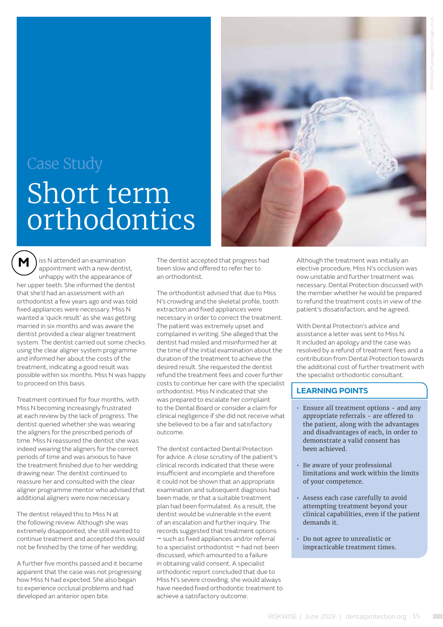## Case Study Short term orthodontics



**M**  iss N attended an examination appointment with a new dentist, unhappy with the appearance of her upper teeth. She informed the dentist that she'd had an assessment with an orthodontist a few years ago and was told fixed appliances were necessary. Miss N wanted a 'quick result' as she was getting married in six months and was aware the dentist provided a clear aligner treatment system. The dentist carried out some checks using the clear aligner system programme and informed her about the costs of the treatment, indicating a good result was possible within six months. Miss N was happy to proceed on this basis.

Treatment continued for four months, with Miss N becoming increasingly frustrated at each review by the lack of progress. The dentist queried whether she was wearing the aligners for the prescribed periods of time. Miss N reassured the dentist she was indeed wearing the aligners for the correct periods of time and was anxious to have the treatment finished due to her wedding drawing near. The dentist continued to reassure her and consulted with the clear aligner programme mentor who advised that additional aligners were now necessary.

The dentist relayed this to Miss N at the following review. Although she was extremely disappointed, she still wanted to continue treatment and accepted this would not be finished by the time of her wedding.

A further five months passed and it became apparent that the case was not progressing how Miss N had expected. She also began to experience occlusal problems and had developed an anterior open bite.

The dentist accepted that progress had been slow and offered to refer her to an orthodontist.

The orthodontist advised that due to Miss N's crowding and the skeletal profile, tooth extraction and fixed appliances were necessary in order to correct the treatment. The patient was extremely upset and complained in writing. She alleged that the dentist had misled and misinformed her at the time of the initial examination about the duration of the treatment to achieve the desired result. She requested the dentist refund the treatment fees and cover further costs to continue her care with the specialist orthodontist. Miss N indicated that she was prepared to escalate her complaint to the Dental Board or consider a claim for clinical negligence if she did not receive what she believed to be a fair and satisfactory outcome.

The dentist contacted Dental Protection for advice. A close scrutiny of the patient's clinical records indicated that these were insufficient and incomplete and therefore it could not be shown that an appropriate examination and subsequent diagnosis had been made, or that a suitable treatment plan had been formulated. As a result, the dentist would be vulnerable in the event of an escalation and further inquiry. The records suggested that treatment options *–* such as fixed appliances and/or referral to a specialist orthodontist *–* had not been discussed, which amounted to a failure in obtaining valid consent. A specialist orthodontic report concluded that due to Miss N's severe crowding, she would always have needed fixed orthodontic treatment to achieve a satisfactory outcome.

Although the treatment was initially an elective procedure, Miss N's occlusion was now unstable and further treatment was necessary. Dental Protection discussed with the member whether he would be prepared to refund the treatment costs in view of the patient's dissatisfaction, and he agreed.

With Dental Protection's advice and assistance a letter was sent to Miss N. It included an apology and the case was resolved by a refund of treatment fees and a contribution from Dental Protection towards the additional cost of further treatment with the specialist orthodontic consultant.

- Ensure all treatment options and any appropriate referrals - are offered to the patient, along with the advantages and disadvantages of each, in order to demonstrate a valid consent has been achieved.
- Be aware of your professional limitations and work within the limits of your competence.
- Assess each case carefully to avoid attempting treatment beyond your clinical capabilities, even if the patient demands it.
- Do not agree to unrealistic or impracticable treatment times.